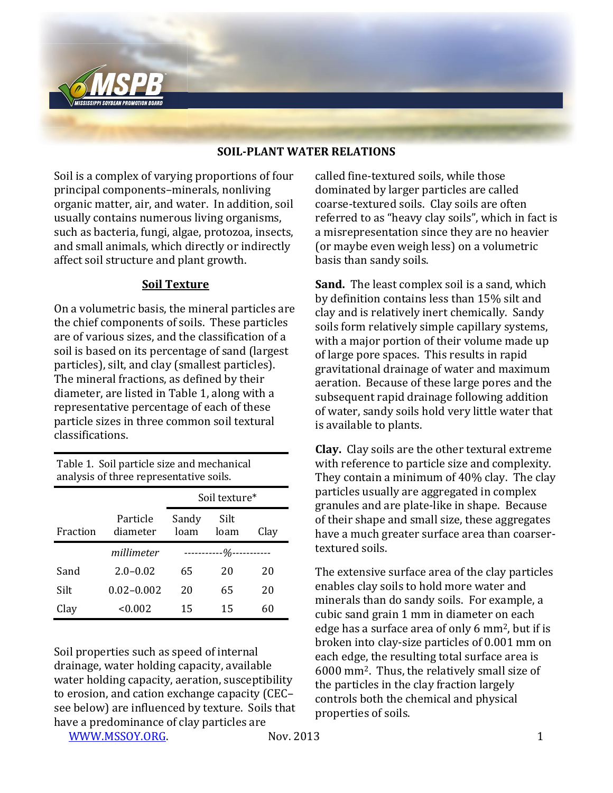

## **SOIL-PLANT WATER RELATIONS**

Soil is a complex of varying proportions of four principal components–minerals, nonliving organic matter, air, and water. In addition, soil usually contains numerous living organisms, such as bacteria, fungi, algae, protozoa, insects, and small animals, which directly or indirectly affect soil structure and plant growth.

## **Soil Texture**

On a volumetric basis, the mineral particles are the chief components of soils. These particles are of various sizes, and the classification of a soil is based on its percentage of sand (largest particles), silt, and clay (smallest particles). The mineral fractions, as defined by their diameter, are listed in Table 1, along with a representative percentage of each of these particle sizes in three common soil textural classifications.

Table 1. Soil particle size and mechanical analysis of three representative soils.

|          |                      | Soil texture*             |              |      |
|----------|----------------------|---------------------------|--------------|------|
| Fraction | Particle<br>diameter | Sandy<br>loam             | Silt<br>loam | Clay |
|          | millimeter           | -----------0/0----------- |              |      |
| Sand     | $2.0 - 0.02$         | 65                        | 20           | 20   |
| Silt     | $0.02 - 0.002$       | 20                        | 65           | 20   |
| Clay     | <0.002               | 15                        | 15           | 60   |

Soil properties such as speed of internal drainage, water holding capacity, available water holding capacity, aeration, susceptibility to erosion, and cation exchange capacity (CEC– see below) are influenced by texture. Soils that have a predominance of clay particles are

[WWW.MSSOY.ORG.](http://www.mssoy.org/) 1 Nov. 2013 1

called fine-textured soils, while those dominated by larger particles are called coarse-textured soils. Clay soils are often referred to as "heavy clay soils", which in fact is a misrepresentation since they are no heavier (or maybe even weigh less) on a volumetric basis than sandy soils.

**Sand.** The least complex soil is a sand, which by definition contains less than 15% silt and clay and is relatively inert chemically. Sandy soils form relatively simple capillary systems, with a major portion of their volume made up of large pore spaces. This results in rapid gravitational drainage of water and maximum aeration. Because of these large pores and the subsequent rapid drainage following addition of water, sandy soils hold very little water that is available to plants.

**Clay.** Clay soils are the other textural extreme with reference to particle size and complexity. They contain a minimum of 40% clay. The clay particles usually are aggregated in complex granules and are plate-like in shape. Because of their shape and small size, these aggregates have a much greater surface area than coarsertextured soils.

The extensive surface area of the clay particles enables clay soils to hold more water and minerals than do sandy soils. For example, a cubic sand grain 1 mm in diameter on each edge has a surface area of only 6 mm2, but if is broken into clay-size particles of 0.001 mm on each edge, the resulting total surface area is 6000 mm2. Thus, the relatively small size of the particles in the clay fraction largely controls both the chemical and physical properties of soils.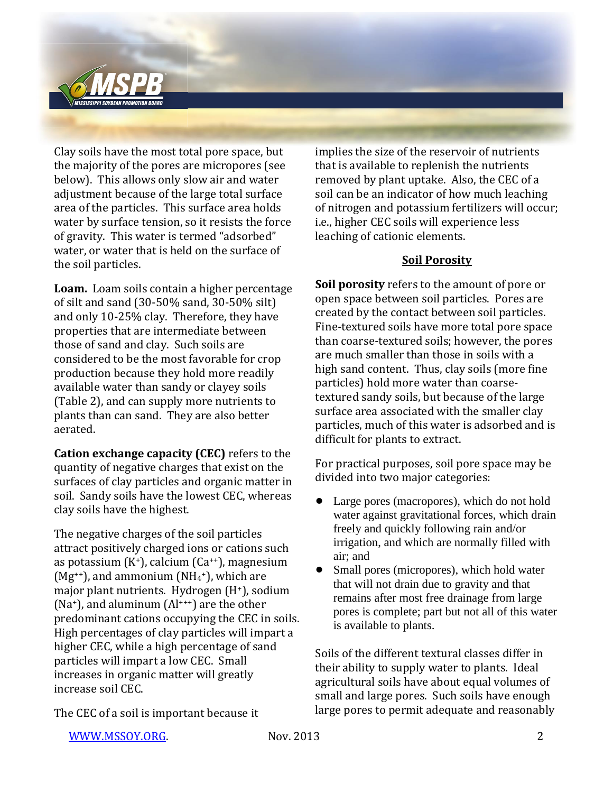

Clay soils have the most total pore space, but the majority of the pores are micropores (see below). This allows only slow air and water adjustment because of the large total surface area of the particles. This surface area holds water by surface tension, so it resists the force of gravity. This water is termed "adsorbed" water, or water that is held on the surface of the soil particles.

**Loam.** Loam soils contain a higher percentage of silt and sand (30-50% sand, 30-50% silt) and only 10-25% clay. Therefore, they have properties that are intermediate between those of sand and clay. Such soils are considered to be the most favorable for crop production because they hold more readily available water than sandy or clayey soils (Table 2), and can supply more nutrients to plants than can sand. They are also better aerated.

**Cation exchange capacity (CEC)** refers to the quantity of negative charges that exist on the surfaces of clay particles and organic matter in soil. Sandy soils have the lowest CEC, whereas clay soils have the highest.

The negative charges of the soil particles attract positively charged ions or cations such as potassium  $(K^+)$ , calcium  $(Ca^{++})$ , magnesium  $(Mg^{++})$ , and ammonium  $(NH_4^+)$ , which are major plant nutrients. Hydrogen (H+), sodium  $(Na<sup>+</sup>)$ , and aluminum  $(A<sup>+++</sup>)$  are the other predominant cations occupying the CEC in soils. High percentages of clay particles will impart a higher CEC, while a high percentage of sand particles will impart a low CEC. Small increases in organic matter will greatly increase soil CEC.

implies the size of the reservoir of nutrients that is available to replenish the nutrients removed by plant uptake. Also, the CEC of a soil can be an indicator of how much leaching of nitrogen and potassium fertilizers will occur; i.e., higher CEC soils will experience less leaching of cationic elements.

## **Soil Porosity**

**Soil porosity** refers to the amount of pore or open space between soil particles. Pores are created by the contact between soil particles. Fine-textured soils have more total pore space than coarse-textured soils; however, the pores are much smaller than those in soils with a high sand content. Thus, clay soils (more fine particles) hold more water than coarsetextured sandy soils, but because of the large surface area associated with the smaller clay particles, much of this water is adsorbed and is difficult for plants to extract.

For practical purposes, soil pore space may be divided into two major categories:

- Large pores (macropores), which do not hold water against gravitational forces, which drain freely and quickly following rain and/or irrigation, and which are normally filled with air; and
- Small pores (micropores), which hold water that will not drain due to gravity and that remains after most free drainage from large pores is complete; part but not all of this water is available to plants.

Soils of the different textural classes differ in their ability to supply water to plants. Ideal agricultural soils have about equal volumes of small and large pores. Such soils have enough large pores to permit adequate and reasonably

The CEC of a soil is important because it

[WWW.MSSOY.ORG.](http://www.mssoy.org/) Nov. 2013 2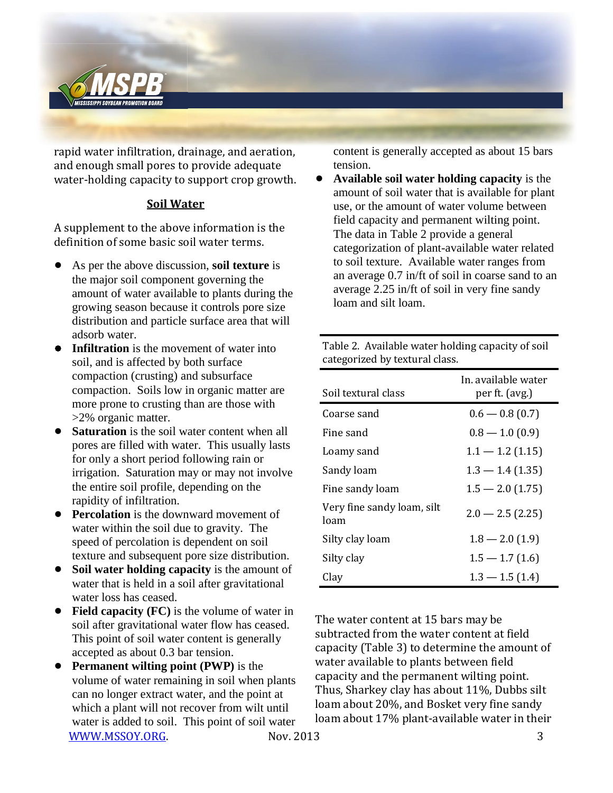

rapid water infiltration, drainage, and aeration, and enough small pores to provide adequate water-holding capacity to support crop growth.

## **Soil Water**

A supplement to the above information is the definition of some basic soil water terms.

- ! As per the above discussion, **soil texture** is the major soil component governing the amount of water available to plants during the growing season because it controls pore size distribution and particle surface area that will adsorb water.
- **Infiltration** is the movement of water into soil, and is affected by both surface compaction (crusting) and subsurface compaction. Soils low in organic matter are more prone to crusting than are those with >2% organic matter.
- **Saturation** is the soil water content when all pores are filled with water. This usually lasts for only a short period following rain or irrigation. Saturation may or may not involve the entire soil profile, depending on the rapidity of infiltration.
- **Percolation** is the downward movement of water within the soil due to gravity. The speed of percolation is dependent on soil texture and subsequent pore size distribution.
- ! **Soil water holding capacity** is the amount of water that is held in a soil after gravitational water loss has ceased.
- Field capacity (FC) is the volume of water in soil after gravitational water flow has ceased. This point of soil water content is generally accepted as about 0.3 bar tension.
- [WWW.MSSOY.ORG.](http://www.mssoy.org/) Nov. 2013 3 **Permanent wilting point (PWP)** is the volume of water remaining in soil when plants can no longer extract water, and the point at which a plant will not recover from wilt until water is added to soil. This point of soil water

content is generally accepted as about 15 bars tension.

! **Available soil water holding capacity** is the amount of soil water that is available for plant use, or the amount of water volume between field capacity and permanent wilting point. The data in Table 2 provide a general categorization of plant-available water related to soil texture. Available water ranges from an average 0.7 in/ft of soil in coarse sand to an average 2.25 in/ft of soil in very fine sandy loam and silt loam.

Table 2. Available water holding capacity of soil categorized by textural class.

| Soil textural class                | In, available water<br>per ft. (avg.) |  |  |
|------------------------------------|---------------------------------------|--|--|
| Coarse sand                        | $0.6 - 0.8(0.7)$                      |  |  |
| Fine sand                          | $0.8 - 1.0(0.9)$                      |  |  |
| Loamy sand                         | $1.1 - 1.2$ (1.15)                    |  |  |
| Sandy loam                         | $1.3 - 1.4(1.35)$                     |  |  |
| Fine sandy loam                    | $1.5 - 2.0$ (1.75)                    |  |  |
| Very fine sandy loam, silt<br>loam | $2.0 - 2.5(2.25)$                     |  |  |
| Silty clay loam                    | $1.8 - 2.0(1.9)$                      |  |  |
| Silty clay                         | $1.5 - 1.7(1.6)$                      |  |  |
| Clay                               | $1.3 - 1.5(1.4)$                      |  |  |

The water content at 15 bars may be subtracted from the water content at field capacity (Table 3) to determine the amount of water available to plants between field capacity and the permanent wilting point. Thus, Sharkey clay has about 11%, Dubbs silt loam about 20%, and Bosket very fine sandy loam about 17% plant-available water in their